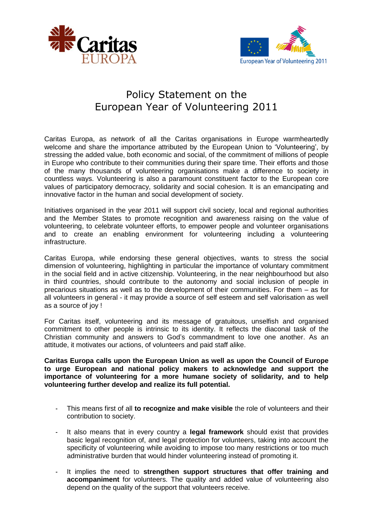



## Policy Statement on the European Year of Volunteering 2011

Caritas Europa, as network of all the Caritas organisations in Europe warmheartedly welcome and share the importance attributed by the European Union to 'Volunteering', by stressing the added value, both economic and social, of the commitment of millions of people in Europe who contribute to their communities during their spare time. Their efforts and those of the many thousands of volunteering organisations make a difference to society in countless ways. Volunteering is also a paramount constituent factor to the European core values of participatory democracy, solidarity and social cohesion. It is an emancipating and innovative factor in the human and social development of society.

Initiatives organised in the year 2011 will support civil society, local and regional authorities and the Member States to promote recognition and awareness raising on the value of volunteering, to celebrate volunteer efforts, to empower people and volunteer organisations and to create an enabling environment for volunteering including a volunteering infrastructure.

Caritas Europa, while endorsing these general objectives, wants to stress the social dimension of volunteering, highlighting in particular the importance of voluntary commitment in the social field and in active citizenship. Volunteering, in the near neighbourhood but also in third countries, should contribute to the autonomy and social inclusion of people in precarious situations as well as to the development of their communities. For them – as for all volunteers in general - it may provide a source of self esteem and self valorisation as well as a source of joy !

For Caritas itself, volunteering and its message of gratuitous, unselfish and organised commitment to other people is intrinsic to its identity. It reflects the diaconal task of the Christian community and answers to God's commandment to love one another. As an attitude, it motivates our actions, of volunteers and paid staff alike.

**Caritas Europa calls upon the European Union as well as upon the Council of Europe to urge European and national policy makers to acknowledge and support the importance of volunteering for a more humane society of solidarity, and to help volunteering further develop and realize its full potential.**

- This means first of all **to recognize and make visible** the role of volunteers and their contribution to society.
- It also means that in every country a **legal framework** should exist that provides basic legal recognition of, and legal protection for volunteers, taking into account the specificity of volunteering while avoiding to impose too many restrictions or too much administrative burden that would hinder volunteering instead of promoting it.
- It implies the need to strengthen support structures that offer training and **accompaniment** for volunteers. The quality and added value of volunteering also depend on the quality of the support that volunteers receive.